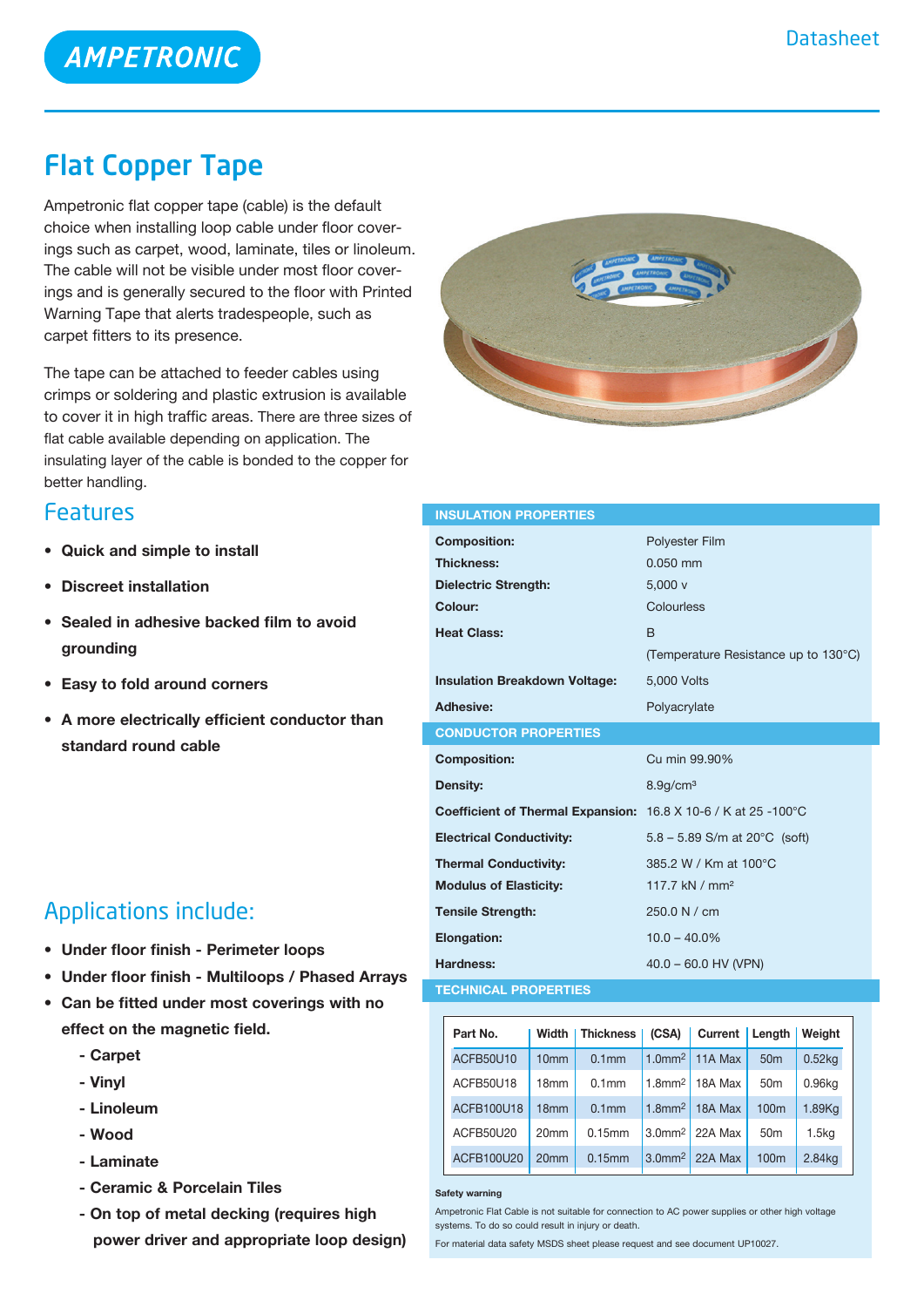# **AMPETRONIC**

# Flat Copper Tape

Ampetronic flat copper tape (cable) is the default choice when installing loop cable under floor coverings such as carpet, wood, laminate, tiles or linoleum. The cable will not be visible under most floor coverings and is generally secured to the floor with Printed Warning Tape that alerts tradespeople, such as carpet fitters to its presence.

The tape can be attached to feeder cables using crimps or soldering and plastic extrusion is available to cover it in high traffic areas. There are three sizes of flat cable available depending on application. The insulating layer of the cable is bonded to the copper for better handling.



- **• Quick and simple to install**
- **Discreet installation**
- **• Sealed in adhesive backed film to avoid grounding**
- **• Easy to fold around corners**
- **• A more electrically efficient conductor than standard round cable**

### Applications include:

- **• Under floor finish - Perimeter loops**
- **• Under floor finish - Multiloops / Phased Arrays**
- **• Can be fitted under most coverings with no effect on the magnetic field.**
	- **- Carpet**
	- **- Vinyl**
	- **- Linoleum**
	- **- Wood**
	- **- Laminate**
	- **- Ceramic & Porcelain Tiles**
	- **- On top of metal decking (requires high power driver and appropriate loop design)**



| <b>INSULATION PROPERTIES</b>                                           |                                            |  |  |  |
|------------------------------------------------------------------------|--------------------------------------------|--|--|--|
| <b>Composition:</b>                                                    | <b>Polyester Film</b>                      |  |  |  |
| <b>Thickness:</b>                                                      | $0.050$ mm                                 |  |  |  |
| <b>Dielectric Strength:</b>                                            | 5.000v                                     |  |  |  |
| Colour:                                                                | Colourless                                 |  |  |  |
| <b>Heat Class:</b>                                                     | <sub>B</sub>                               |  |  |  |
|                                                                        | (Temperature Resistance up to 130°C)       |  |  |  |
| <b>Insulation Breakdown Voltage:</b>                                   | 5,000 Volts                                |  |  |  |
| <b>Adhesive:</b>                                                       | Polyacrylate                               |  |  |  |
| <b>CONDUCTOR PROPERTIES</b>                                            |                                            |  |  |  |
|                                                                        |                                            |  |  |  |
| <b>Composition:</b>                                                    | Cu min 99.90%                              |  |  |  |
| Density:                                                               | $8.9$ g/cm $3$                             |  |  |  |
| <b>Coefficient of Thermal Expansion:</b> 16.8 X 10-6 / K at 25 -100 °C |                                            |  |  |  |
| <b>Electrical Conductivity:</b>                                        | $5.8 - 5.89$ S/m at 20 $^{\circ}$ C (soft) |  |  |  |
| <b>Thermal Conductivity:</b>                                           | 385.2 W / Km at 100°C                      |  |  |  |
| <b>Modulus of Elasticity:</b>                                          | 117.7 kN / mm <sup>2</sup>                 |  |  |  |
| <b>Tensile Strength:</b>                                               | 250.0 N / cm                               |  |  |  |
| <b>Elongation:</b>                                                     | $10.0 - 40.0\%$                            |  |  |  |
| Hardness:                                                              | $40.0 - 60.0$ HV (VPN)                     |  |  |  |

| Part No.          | Width            | <b>Thickness</b>  | (CSA)                 | Current Length |                  | Weight            |
|-------------------|------------------|-------------------|-----------------------|----------------|------------------|-------------------|
| ACFB50U10         | 10 <sub>mm</sub> | 0.1 <sub>mm</sub> | $1.0$ mm <sup>2</sup> | 11A Max        | 50 <sub>m</sub>  | 0.52kg            |
| ACFB50U18         | 18 <sub>mm</sub> | 0.1 <sub>mm</sub> | $1.8$ mm $2$          | 18A Max        | 50 <sub>m</sub>  | 0.96kg            |
| ACFB100U18        | 18 <sub>mm</sub> | 0.1 <sub>mm</sub> | $1.8$ mm <sup>2</sup> | 18A Max        | 100 <sub>m</sub> | 1.89Kg            |
| ACFB50U20         | 20 <sub>mm</sub> | 0.15mm            | 3.0 <sup>m</sup>      | 22A Max        | 50 <sub>m</sub>  | 1.5 <sub>kq</sub> |
| <b>ACFB100U20</b> | 20 <sub>mm</sub> | 0.15mm            | 3.0 <sup>m</sup>      | 22A Max        | 100 <sub>m</sub> | 2.84kg            |

**Safety warning**

Ampetronic Flat Cable is not suitable for connection to AC power supplies or other high voltage systems. To do so could result in injury or death.

For material data safety MSDS sheet please request and see document UP10027.